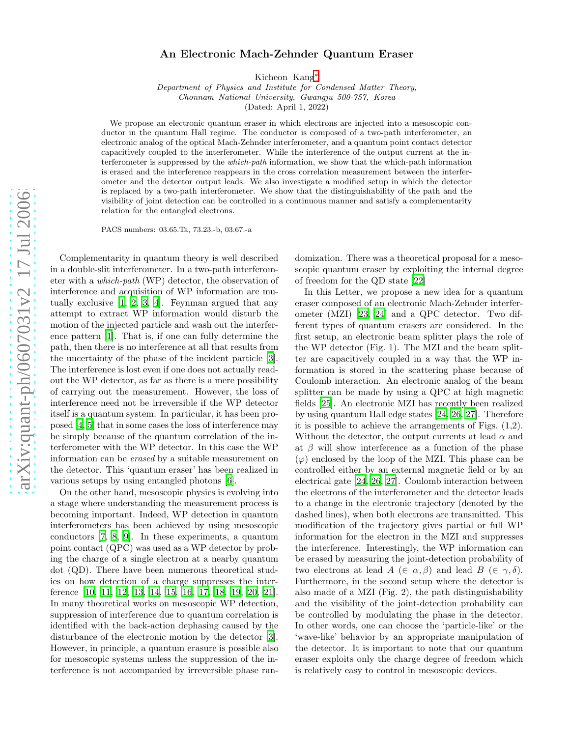## arXiv:quant-ph/0607031v2 17 Jul 2006 [arXiv:quant-ph/0607031v2 17 Jul 2006](http://arxiv.org/abs/quant-ph/0607031v2)

## An Electronic Mach-Zehnder Quantum Eraser

Kicheon Kang [∗](#page-3-0)

Department of Physics and Institute for Condensed Matter Theory, Chonnam National University, Gwangju 500-757, Korea (Dated: April 1, 2022)

We propose an electronic quantum eraser in which electrons are injected into a mesoscopic conductor in the quantum Hall regime. The conductor is composed of a two-path interferometer, an electronic analog of the optical Mach-Zehnder interferometer, and a quantum point contact detector capacitively coupled to the interferometer. While the interference of the output current at the interferometer is suppressed by the which-path information, we show that the which-path information is erased and the interference reappears in the cross correlation measurement between the interferometer and the detector output leads. We also investigate a modified setup in which the detector is replaced by a two-path interferometer. We show that the distinguishability of the path and the visibility of joint detection can be controlled in a continuous manner and satisfy a complementarity relation for the entangled electrons.

PACS numbers: 03.65.Ta, 73.23.-b, 03.67.-a

Complementarity in quantum theory is well described in a double-slit interferometer. In a two-path interferometer with a which-path (WP) detector, the observation of interference and acquisition of WP information are mutually exclusive [\[1,](#page-3-1) [2](#page-3-2), [3,](#page-3-3) [4\]](#page-3-4). Feynman argued that any attempt to extract WP information would disturb the motion of the injected particle and wash out the interference pattern [\[1\]](#page-3-1). That is, if one can fully determine the path, then there is no interference at all that results from the uncertainty of the phase of the incident particle [\[3\]](#page-3-3). The interference is lost even if one does not actually readout the WP detector, as far as there is a mere possibility of carrying out the measurement. However, the loss of interference need not be irreversible if the WP detector itself is a quantum system. In particular, it has been proposed [\[4,](#page-3-4) [5](#page-3-5)] that in some cases the loss of interference may be simply because of the quantum correlation of the interferometer with the WP detector. In this case the WP information can be erased by a suitable measurement on the detector. This 'quantum eraser' has been realized in various setups by using entangled photons [\[6](#page-3-6)].

On the other hand, mesoscopic physics is evolving into a stage where understanding the measurement process is becoming important. Indeed, WP detection in quantum interferometers has been achieved by using mesoscopic conductors [\[7](#page-3-7), [8,](#page-3-8) [9\]](#page-3-9). In these experiments, a quantum point contact (QPC) was used as a WP detector by probing the charge of a single electron at a nearby quantum dot (QD). There have been numerous theoretical studies on how detection of a charge suppresses the interference [\[10,](#page-3-10) [11,](#page-3-11) [12](#page-3-12), [13,](#page-3-13) [14](#page-3-14), [15,](#page-4-0) [16](#page-4-1), [17,](#page-4-2) [18](#page-4-3), [19,](#page-4-4) [20](#page-4-5), [21\]](#page-4-6). In many theoretical works on mesoscopic WP detection, suppression of interference due to quantum correlation is identified with the back-action dephasing caused by the disturbance of the electronic motion by the detector [\[3\]](#page-3-3). However, in principle, a quantum erasure is possible also for mesoscopic systems unless the suppression of the interference is not accompanied by irreversible phase randomization. There was a theoretical proposal for a mesoscopic quantum eraser by exploiting the internal degree of freedom for the QD state [\[22\]](#page-4-7)

In this Letter, we propose a new idea for a quantum eraser composed of an electronic Mach-Zehnder interferometer (MZI) [\[23,](#page-4-8) [24](#page-4-9)] and a QPC detector. Two different types of quantum erasers are considered. In the first setup, an electronic beam splitter plays the role of the WP detector (Fig. 1). The MZI and the beam splitter are capacitively coupled in a way that the WP information is stored in the scattering phase because of Coulomb interaction. An electronic analog of the beam splitter can be made by using a QPC at high magnetic fields [\[25\]](#page-4-10). An electronic MZI has recently been realized by using quantum Hall edge states [\[24,](#page-4-9) [26](#page-4-11), [27\]](#page-4-12). Therefore it is possible to achieve the arrangements of Figs. (1,2). Without the detector, the output currents at lead  $\alpha$  and at  $\beta$  will show interference as a function of the phase  $(\varphi)$  enclosed by the loop of the MZI. This phase can be controlled either by an external magnetic field or by an electrical gate [\[24](#page-4-9), [26,](#page-4-11) [27\]](#page-4-12). Coulomb interaction between the electrons of the interferometer and the detector leads to a change in the electronic trajectory (denoted by the dashed lines), when both electrons are transmitted. This modification of the trajectory gives partial or full WP information for the electron in the MZI and suppresses the interference. Interestingly, the WP information can be erased by measuring the joint-detection probability of two electrons at lead  $A \in \alpha, \beta$  and lead  $B \in \gamma, \delta$ . Furthermore, in the second setup where the detector is also made of a MZI (Fig. 2), the path distinguishability and the visibility of the joint-detection probability can be controlled by modulating the phase in the detector. In other words, one can choose the 'particle-like' or the 'wave-like' behavior by an appropriate manipulation of the detector. It is important to note that our quantum eraser exploits only the charge degree of freedom which is relatively easy to control in mesoscopic devices.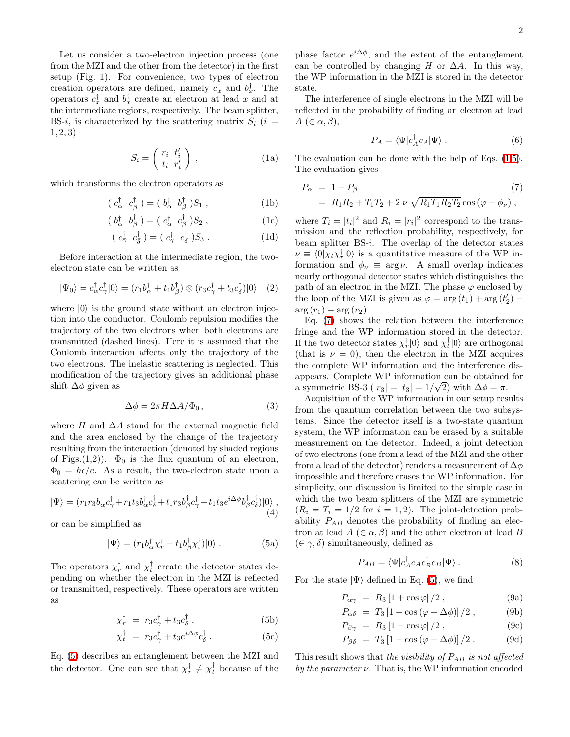<span id="page-1-1"></span>Let us consider a two-electron injection process (one from the MZI and the other from the detector) in the first setup (Fig. 1). For convenience, two types of electron creation operators are defined, namely  $c_x^{\dagger}$  and  $b_x^{\dagger}$ . The operators  $c_x^{\dagger}$  and  $b_x^{\dagger}$  create an electron at lead x and at the intermediate regions, respectively. The beam splitter, BS-i, is characterized by the scattering matrix  $S_i$  (i = 1, 2, 3)

$$
S_i = \begin{pmatrix} r_i & t'_i \\ t_i & r'_i \end{pmatrix} , \qquad (1a)
$$

which transforms the electron operators as

$$
\left(\begin{array}{cc} c_{\bar{\alpha}}^{\dagger} & c_{\bar{\beta}}^{\dagger} \end{array}\right) = \left(\begin{array}{cc} b_{\alpha}^{\dagger} & b_{\beta}^{\dagger} \end{array}\right)S_{1} , \tag{1b}
$$

$$
\left(\begin{array}{cc}b_{\alpha}^{\dagger} & b_{\beta}^{\dagger}\end{array}\right) = \left(\begin{array}{cc}c_{\alpha}^{\dagger} & c_{\beta}^{\dagger}\end{array}\right)S_{2},\tag{1c}
$$

$$
\left(\begin{array}{cc}c_{\overline{\gamma}}^{\dagger} & c_{\overline{\delta}}^{\dagger}\end{array}\right) = \left(\begin{array}{cc}c_{\gamma}^{\dagger} & c_{\delta}^{\dagger}\end{array}\right)S_3\,. \tag{1d}
$$

Before interaction at the intermediate region, the twoelectron state can be written as

$$
|\Psi_0\rangle = c_{\alpha}^{\dagger} c_{\gamma}^{\dagger} |0\rangle = (r_1 b_{\alpha}^{\dagger} + t_1 b_{\beta}^{\dagger}) \otimes (r_3 c_{\gamma}^{\dagger} + t_3 c_{\delta}^{\dagger}) |0\rangle \quad (2)
$$

where  $|0\rangle$  is the ground state without an electron injection into the conductor. Coulomb repulsion modifies the trajectory of the two electrons when both electrons are transmitted (dashed lines). Here it is assumed that the Coulomb interaction affects only the trajectory of the two electrons. The inelastic scattering is neglected. This modification of the trajectory gives an additional phase shift  $\Delta\phi$  given as

$$
\Delta \phi = 2\pi H \Delta A / \Phi_0, \qquad (3)
$$

<span id="page-1-4"></span>where H and  $\Delta A$  stand for the external magnetic field and the area enclosed by the change of the trajectory resulting from the interaction (denoted by shaded regions of Figs.(1,2)).  $\Phi_0$  is the flux quantum of an electron,  $\Phi_0 = hc/e$ . As a result, the two-electron state upon a scattering can be written as

<span id="page-1-0"></span>
$$
|\Psi\rangle = (r_1r_3b^{\dagger}_{\alpha}c^{\dagger}_{\gamma} + r_1t_3b^{\dagger}_{\alpha}c^{\dagger}_{\delta} + t_1r_3b^{\dagger}_{\beta}c^{\dagger}_{\gamma} + t_1t_3e^{i\Delta\phi}b^{\dagger}_{\beta}c^{\dagger}_{\delta})|0\rangle,
$$
\n(4)

or can be simplified as

$$
|\Psi\rangle = (r_1 b_\alpha^\dagger \chi_r^\dagger + t_1 b_\beta^\dagger \chi_t^\dagger)|0\rangle. \tag{5a}
$$

The operators  $\chi_r^{\dagger}$  and  $\chi_t^{\dagger}$  create the detector states depending on whether the electron in the MZI is reflected or transmitted, respectively. These operators are written as

$$
\chi_r^{\dagger} = r_3 c_{\gamma}^{\dagger} + t_3 c_{\delta}^{\dagger} , \qquad (5b)
$$

$$
\chi_t^{\dagger} = r_3 c_{\gamma}^{\dagger} + t_3 e^{i\Delta \phi} c_{\delta}^{\dagger} . \tag{5c}
$$

Eq. [\(5\)](#page-1-0) describes an entanglement between the MZI and the detector. One can see that  $\chi_r^{\dagger} \neq \chi_t^{\dagger}$  because of the

phase factor  $e^{i\Delta\phi}$ , and the extent of the entanglement can be controlled by changing H or  $\Delta A$ . In this way, the WP information in the MZI is stored in the detector state.

<span id="page-1-3"></span>The interference of single electrons in the MZI will be reflected in the probability of finding an electron at lead  $A \in \alpha, \beta$ ,

$$
P_A = \langle \Psi | c_A^\dagger c_A | \Psi \rangle . \tag{6}
$$

<span id="page-1-2"></span>The evaluation can be done with the help of Eqs. [\(1](#page-1-1)[,5\)](#page-1-0). The evaluation gives

$$
P_{\alpha} = 1 - P_{\beta}
$$
\n
$$
= R_1 R_2 + T_1 T_2 + 2|\nu| \sqrt{R_1 T_1 R_2 T_2} \cos(\varphi - \phi_{\nu}),
$$
\n(7)

where  $T_i = |t_i|^2$  and  $R_i = |r_i|^2$  correspond to the transmission and the reflection probability, respectively, for beam splitter BS-i. The overlap of the detector states  $\nu \equiv \langle 0 | \chi_t \chi_r^{\dagger} | 0 \rangle$  is a quantitative measure of the WP information and  $\phi_{\nu} \equiv \arg \nu$ . A small overlap indicates nearly orthogonal detector states which distinguishes the path of an electron in the MZI. The phase  $\varphi$  enclosed by the loop of the MZI is given as  $\varphi = \arg(t_1) + \arg(t_2')$  $arg(r_1) - arg(r_2)$ .

Eq. [\(7\)](#page-1-2) shows the relation between the interference fringe and the WP information stored in the detector. If the two detector states  $\chi_r^{\dagger} |0\rangle$  and  $\chi_t^{\dagger} |0\rangle$  are orthogonal (that is  $\nu = 0$ ), then the electron in the MZI acquires the complete WP information and the interference disappears. Complete WP information can be obtained for a symmetric BS-3 ( $|r_3| = |t_3| = 1/\sqrt{2}$ ) with  $\Delta \phi = \pi$ .

Acquisition of the WP information in our setup results from the quantum correlation between the two subsystems. Since the detector itself is a two-state quantum system, the WP information can be erased by a suitable measurement on the detector. Indeed, a joint detection of two electrons (one from a lead of the MZI and the other from a lead of the detector) renders a measurement of  $\Delta\phi$ impossible and therefore erases the WP information. For simplicity, our discussion is limited to the simple case in which the two beam splitters of the MZI are symmetric  $(R_i = T_i = 1/2$  for  $i = 1, 2)$ . The joint-detection probability  $P_{AB}$  denotes the probability of finding an electron at lead  $A \in \alpha, \beta$  and the other electron at lead B  $(\in \gamma, \delta)$  simultaneously, defined as

$$
P_{AB} = \langle \Psi | c_A^{\dagger} c_A c_B^{\dagger} c_B | \Psi \rangle . \tag{8}
$$

For the state  $|\Psi\rangle$  defined in Eq. [\(5\)](#page-1-0), we find

$$
P_{\alpha\gamma} = R_3 \left[ 1 + \cos \varphi \right] / 2 , \qquad (9a)
$$

$$
P_{\alpha\delta} = T_3 \left[ 1 + \cos \left( \varphi + \Delta \phi \right) \right] / 2 \,, \tag{9b}
$$

$$
P_{\beta\gamma} = R_3 \left[ 1 - \cos \varphi \right] / 2 , \qquad (9c)
$$

$$
P_{\beta\delta} = T_3 \left[ 1 - \cos \left( \varphi + \Delta \phi \right) \right] / 2. \tag{9d}
$$

This result shows that the visibility of  $P_{AB}$  is not affected by the parameter  $\nu$ . That is, the WP information encoded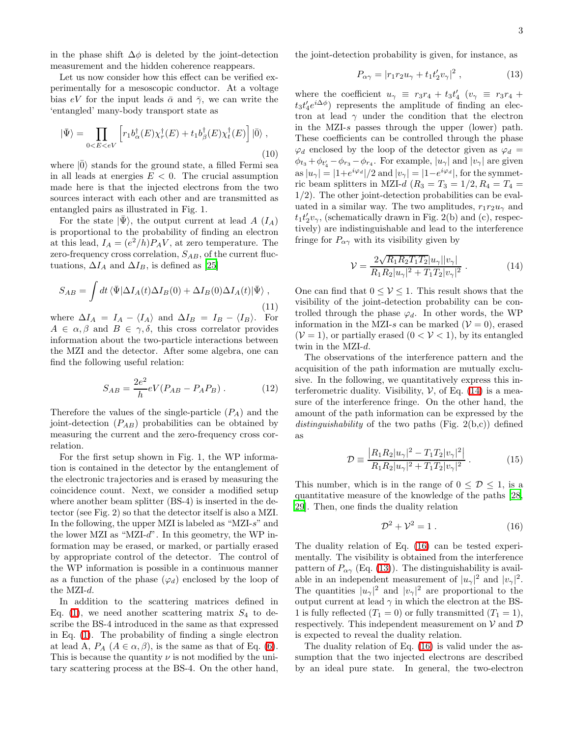in the phase shift  $\Delta \phi$  is deleted by the joint-detection measurement and the hidden coherence reappears.

Let us now consider how this effect can be verified experimentally for a mesoscopic conductor. At a voltage bias eV for the input leads  $\bar{\alpha}$  and  $\bar{\gamma}$ , we can write the 'entangled' many-body transport state as

$$
|\bar{\Psi}\rangle = \prod_{0 < E < eV} \left[ r_1 b_\alpha^\dagger(E) \chi_r^\dagger(E) + t_1 b_\beta^\dagger(E) \chi_t^\dagger(E) \right] |\bar{0}\rangle \,, \tag{10}
$$

where  $|\bar{0}\rangle$  stands for the ground state, a filled Fermi sea in all leads at energies  $E < 0$ . The crucial assumption made here is that the injected electrons from the two sources interact with each other and are transmitted as entangled pairs as illustrated in Fig. 1.

For the state  $|\Psi\rangle$ , the output current at lead A  $(I_A)$ is proportional to the probability of finding an electron at this lead,  $I_A = (e^2/h)P_A V$ , at zero temperature. The zero-frequency cross correlation,  $S_{AB}$ , of the current fluctuations,  $\Delta I_A$  and  $\Delta I_B$ , is defined as [\[25](#page-4-10)]

$$
S_{AB} = \int dt \langle \bar{\Psi} | \Delta I_A(t) \Delta I_B(0) + \Delta I_B(0) \Delta I_A(t) | \bar{\Psi} \rangle , \qquad (11)
$$

where  $\Delta I_A = I_A - \langle I_A \rangle$  and  $\Delta I_B = I_B - \langle I_B \rangle$ . For  $A \in \alpha, \beta$  and  $B \in \gamma, \delta$ , this cross correlator provides information about the two-particle interactions between the MZI and the detector. After some algebra, one can find the following useful relation:

$$
S_{AB} = \frac{2e^2}{h} eV(P_{AB} - P_A P_B) . \tag{12}
$$

Therefore the values of the single-particle  $(P_A)$  and the joint-detection  $(P_{AB})$  probabilities can be obtained by measuring the current and the zero-frequency cross correlation.

For the first setup shown in Fig. 1, the WP information is contained in the detector by the entanglement of the electronic trajectories and is erased by measuring the coincidence count. Next, we consider a modified setup where another beam splitter (BS-4) is inserted in the detector (see Fig. 2) so that the detector itself is also a MZI. In the following, the upper MZI is labeled as "MZI-s" and the lower MZI as "MZI-d". In this geometry, the WP information may be erased, or marked, or partially erased by appropriate control of the detector. The control of the WP information is possible in a continuous manner as a function of the phase  $(\varphi_d)$  enclosed by the loop of the MZI-d.

In addition to the scattering matrices defined in Eq. [\(1\)](#page-1-1), we need another scattering matrix  $S_4$  to describe the BS-4 introduced in the same as that expressed in Eq. [\(1\)](#page-1-1). The probability of finding a single electron at lead A,  $P_A$   $(A \in \alpha, \beta)$ , is the same as that of Eq. [\(6\)](#page-1-3). This is because the quantity  $\nu$  is not modified by the unitary scattering process at the BS-4. On the other hand,

the joint-detection probability is given, for instance, as

<span id="page-2-2"></span>
$$
P_{\alpha\gamma} = |r_1 r_2 u_\gamma + t_1 t_2' v_\gamma|^2 , \qquad (13)
$$

where the coefficient  $u_{\gamma} \equiv r_3r_4 + t_3t'_4$   $(v_{\gamma} \equiv r_3r_4 +$  $t_3t'_4e^{i\Delta\phi}$  represents the amplitude of finding an electron at lead  $\gamma$  under the condition that the electron in the MZI-s passes through the upper (lower) path. These coefficients can be controlled through the phase  $\varphi_d$  enclosed by the loop of the detector given as  $\varphi_d =$  $\phi_{t_3} + \phi_{t_4} - \phi_{r_3} - \phi_{r_4}$ . For example,  $|u_\gamma|$  and  $|v_\gamma|$  are given as  $|u_{\gamma}| = |1+e^{i\varphi_d}|/2$  and  $|v_{\gamma}| = |1-e^{i\varphi_d}|$ , for the symmetric beam splitters in MZI-d  $(R_3 = T_3 = 1/2, R_4 = T_4 =$ 1/2). The other joint-detection probabilities can be evaluated in a similar way. The two amplitudes,  $r_1r_2u_\gamma$  and  $t_1 t_2' v_\gamma$ , (schematically drawn in Fig. 2(b) and (c), respectively) are indistinguishable and lead to the interference fringe for  $P_{\alpha\gamma}$  with its visibility given by

<span id="page-2-0"></span>
$$
\mathcal{V} = \frac{2\sqrt{R_1 R_2 T_1 T_2} |u_\gamma||v_\gamma|}{R_1 R_2 |u_\gamma|^2 + T_1 T_2 |v_\gamma|^2} \,. \tag{14}
$$

One can find that  $0 \leq V \leq 1$ . This result shows that the visibility of the joint-detection probability can be controlled through the phase  $\varphi_d$ . In other words, the WP information in the MZI-s can be marked  $(V = 0)$ , erased  $(V = 1)$ , or partially erased  $(0 < V < 1)$ , by its entangled twin in the MZI-d.

The observations of the interference pattern and the acquisition of the path information are mutually exclusive. In the following, we quantitatively express this interferometric duality. Visibility,  $V$ , of Eq. [\(14\)](#page-2-0) is a measure of the interference fringe. On the other hand, the amount of the path information can be expressed by the distinguishability of the two paths (Fig. 2(b,c)) defined as

$$
\mathcal{D} \equiv \frac{|R_1 R_2 |u_\gamma|^2 - T_1 T_2 |v_\gamma|^2|}{R_1 R_2 |u_\gamma|^2 + T_1 T_2 |v_\gamma|^2} \,. \tag{15}
$$

This number, which is in the range of  $0 \leq \mathcal{D} \leq 1$ , is a quantitative measure of the knowledge of the paths [\[28](#page-4-13), [29](#page-4-14)]. Then, one finds the duality relation

<span id="page-2-1"></span>
$$
\mathcal{D}^2 + \mathcal{V}^2 = 1. \tag{16}
$$

The duality relation of Eq. [\(16\)](#page-2-1) can be tested experimentally. The visibility is obtained from the interference pattern of  $P_{\alpha\gamma}$  (Eq. [\(13\)](#page-2-2)). The distinguishability is available in an independent measurement of  $|u_{\gamma}|^2$  and  $|v_{\gamma}|^2$ . The quantities  $|u_{\gamma}|^2$  and  $|v_{\gamma}|^2$  are proportional to the output current at lead  $\gamma$  in which the electron at the BS-1 is fully reflected  $(T_1 = 0)$  or fully transmitted  $(T_1 = 1)$ , respectively. This independent measurement on  $\mathcal V$  and  $\mathcal D$ is expected to reveal the duality relation.

The duality relation of Eq. [\(16\)](#page-2-1) is valid under the assumption that the two injected electrons are described by an ideal pure state. In general, the two-electron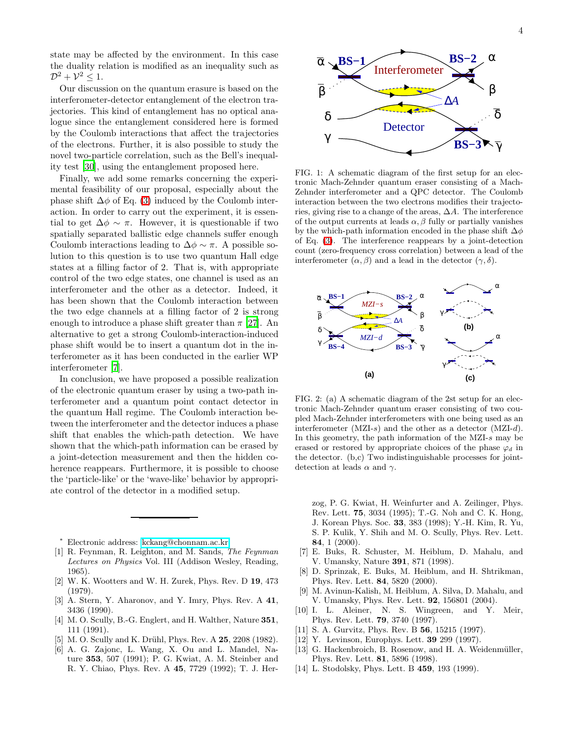state may be affected by the environment. In this case the duality relation is modified as an inequality such as  $\mathcal{D}^2 + \mathcal{V}^2 \leq 1.$ 

Our discussion on the quantum erasure is based on the interferometer-detector entanglement of the electron trajectories. This kind of entanglement has no optical analogue since the entanglement considered here is formed by the Coulomb interactions that affect the trajectories of the electrons. Further, it is also possible to study the novel two-particle correlation, such as the Bell's inequality test [\[30](#page-4-15)], using the entanglement proposed here.

Finally, we add some remarks concerning the experimental feasibility of our proposal, especially about the phase shift  $\Delta\phi$  of Eq. [\(3\)](#page-1-4) induced by the Coulomb interaction. In order to carry out the experiment, it is essential to get  $\Delta \phi \sim \pi$ . However, it is questionable if two spatially separated ballistic edge channels suffer enough Coulomb interactions leading to  $\Delta \phi \sim \pi$ . A possible solution to this question is to use two quantum Hall edge states at a filling factor of 2. That is, with appropriate control of the two edge states, one channel is used as an interferometer and the other as a detector. Indeed, it has been shown that the Coulomb interaction between the two edge channels at a filling factor of 2 is strong enough to introduce a phase shift greater than  $\pi$  [\[27](#page-4-12)]. An alternative to get a strong Coulomb-interaction-induced phase shift would be to insert a quantum dot in the interferometer as it has been conducted in the earlier WP interferometer [\[7\]](#page-3-7).

In conclusion, we have proposed a possible realization of the electronic quantum eraser by using a two-path interferometer and a quantum point contact detector in the quantum Hall regime. The Coulomb interaction between the interferometer and the detector induces a phase shift that enables the which-path detection. We have shown that the which-path information can be erased by a joint-detection measurement and then the hidden coherence reappears. Furthermore, it is possible to choose the 'particle-like' or the 'wave-like' behavior by appropriate control of the detector in a modified setup.

- <sup>∗</sup> Electronic address: [kckang@chonnam.ac.kr](mailto:kckang@chonnam.ac.kr)
- <span id="page-3-1"></span><span id="page-3-0"></span>[1] R. Feynman, R. Leighton, and M. Sands, The Feynman Lectures on Physics Vol. III (Addison Wesley, Reading, 1965).
- <span id="page-3-2"></span>[2] W. K. Wootters and W. H. Zurek, Phys. Rev. D 19, 473 (1979).
- <span id="page-3-3"></span>[3] A. Stern, Y. Aharonov, and Y. Imry, Phys. Rev. A 41, 3436 (1990).
- <span id="page-3-4"></span>[4] M. O. Scully, B.-G. Englert, and H. Walther, Nature 351, 111 (1991).
- [5] M. O. Scully and K. Drühl, Phys. Rev. A **25**, 2208 (1982).
- <span id="page-3-6"></span><span id="page-3-5"></span>[6] A. G. Zajonc, L. Wang, X. Ou and L. Mandel, Nature 353, 507 (1991); P. G. Kwiat, A. M. Steinber and R. Y. Chiao, Phys. Rev. A 45, 7729 (1992); T. J. Her-



FIG. 1: A schematic diagram of the first setup for an electronic Mach-Zehnder quantum eraser consisting of a Mach-Zehnder interferometer and a QPC detector. The Coulomb interaction between the two electrons modifies their trajectories, giving rise to a change of the areas,  $\Delta A$ . The interference of the output currents at leads  $\alpha$ ,  $\beta$  fully or partially vanishes by the which-path information encoded in the phase shift  $\Delta\phi$ of Eq. [\(3\)](#page-1-4). The interference reappears by a joint-detection count (zero-frequency cross correlation) between a lead of the interferometer  $(\alpha, \beta)$  and a lead in the detector  $(\gamma, \delta)$ .



FIG. 2: (a) A schematic diagram of the 2st setup for an electronic Mach-Zehnder quantum eraser consisting of two coupled Mach-Zehnder interferometers with one being used as an interferometer (MZI-s) and the other as a detector (MZI-d). In this geometry, the path information of the MZI-s may be erased or restored by appropriate choices of the phase  $\varphi_d$  in the detector. (b,c) Two indistinguishable processes for jointdetection at leads  $\alpha$  and  $\gamma$ .

zog, P. G. Kwiat, H. Weinfurter and A. Zeilinger, Phys. Rev. Lett. 75, 3034 (1995); T.-G. Noh and C. K. Hong, J. Korean Phys. Soc. 33, 383 (1998); Y.-H. Kim, R. Yu, S. P. Kulik, Y. Shih and M. O. Scully, Phys. Rev. Lett. 84, 1 (2000).

- <span id="page-3-7"></span>[7] E. Buks, R. Schuster, M. Heiblum, D. Mahalu, and V. Umansky, Nature 391, 871 (1998).
- <span id="page-3-8"></span>[8] D. Sprinzak, E. Buks, M. Heiblum, and H. Shtrikman, Phys. Rev. Lett. 84, 5820 (2000).
- [9] M. Avinun-Kalish, M. Heiblum, A. Silva, D. Mahalu, and V. Umansky, Phys. Rev. Lett. 92, 156801 (2004).
- <span id="page-3-10"></span><span id="page-3-9"></span>[10] I. L. Aleiner, N. S. Wingreen, and Y. Meir, Phys. Rev. Lett. 79, 3740 (1997).
- <span id="page-3-11"></span>[11] S. A. Gurvitz, Phys. Rev. B 56, 15215 (1997).
- <span id="page-3-12"></span>[12] Y. Levinson, Europhys. Lett. **39** 299 (1997).
- <span id="page-3-13"></span>[13] G. Hackenbroich, B. Rosenow, and H. A. Weidenmüller, Phys. Rev. Lett. 81, 5896 (1998).
- <span id="page-3-14"></span>[14] L. Stodolsky, Phys. Lett. B **459**, 193 (1999).